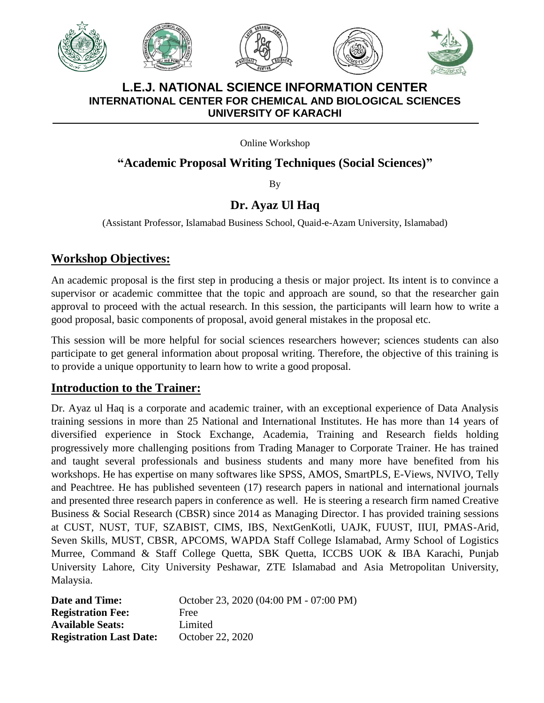







#### **L.E.J. NATIONAL SCIENCE INFORMATION CENTER INTERNATIONAL CENTER FOR CHEMICAL AND BIOLOGICAL SCIENCES UNIVERSITY OF KARACHI**

Online Workshop

## **"Academic Proposal Writing Techniques (Social Sciences)"**

By

# **Dr. Ayaz Ul Haq**

(Assistant Professor, Islamabad Business School, Quaid-e-Azam University, Islamabad)

## **Workshop Objectives:**

An academic proposal is the first step in producing a thesis or major project. Its intent is to convince a supervisor or academic committee that the topic and approach are sound, so that the researcher gain approval to proceed with the actual research. In this session, the participants will learn how to write a good proposal, basic components of proposal, avoid general mistakes in the proposal etc.

This session will be more helpful for social sciences researchers however; sciences students can also participate to get general information about proposal writing. Therefore, the objective of this training is to provide a unique opportunity to learn how to write a good proposal.

### **Introduction to the Trainer:**

Dr. Ayaz ul Haq is a corporate and academic trainer, with an exceptional experience of Data Analysis training sessions in more than 25 National and International Institutes. He has more than 14 years of diversified experience in Stock Exchange, Academia, Training and Research fields holding progressively more challenging positions from Trading Manager to Corporate Trainer. He has trained and taught several professionals and business students and many more have benefited from his workshops. He has expertise on many softwares like SPSS, AMOS, SmartPLS, E-Views, NVIVO, Telly and Peachtree. He has published seventeen (17) research papers in national and international journals and presented three research papers in conference as well. He is steering a research firm named Creative Business & Social Research (CBSR) since 2014 as Managing Director. I has provided training sessions at CUST, NUST, TUF, SZABIST, CIMS, IBS, NextGenKotli, UAJK, FUUST, IIUI, PMAS-Arid, Seven Skills, MUST, CBSR, APCOMS, WAPDA Staff College Islamabad, Army School of Logistics Murree, Command & Staff College Quetta, SBK Quetta, ICCBS UOK & IBA Karachi, Punjab University Lahore, City University Peshawar, ZTE Islamabad and Asia Metropolitan University, Malaysia.

| <b>Date and Time:</b>          | October 23, 2020 (04:00 PM - 07:00 PM) |
|--------------------------------|----------------------------------------|
| <b>Registration Fee:</b>       | Free                                   |
| <b>Available Seats:</b>        | Limited                                |
| <b>Registration Last Date:</b> | October 22, 2020                       |